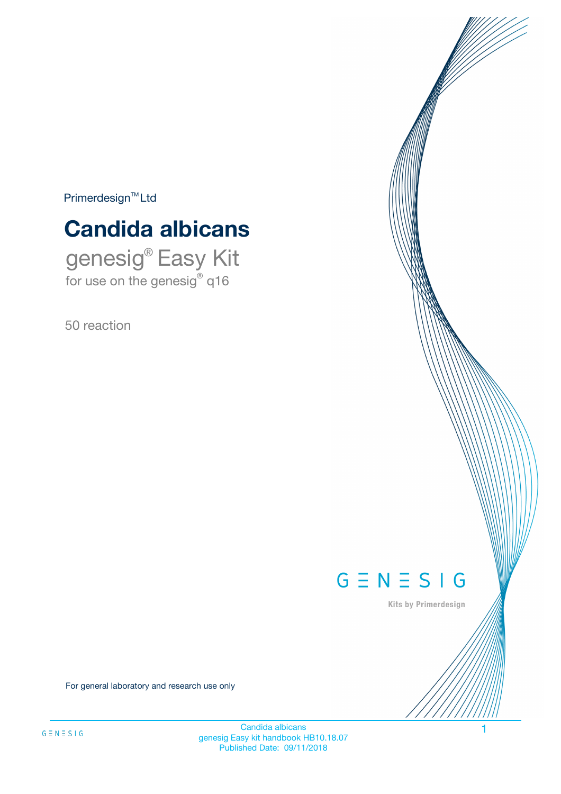$Primerdesign^{\text{TM}}Ltd$ 

# **Candida albicans**

genesig® Easy Kit for use on the genesig® q16

50 reaction



Kits by Primerdesign

For general laboratory and research use only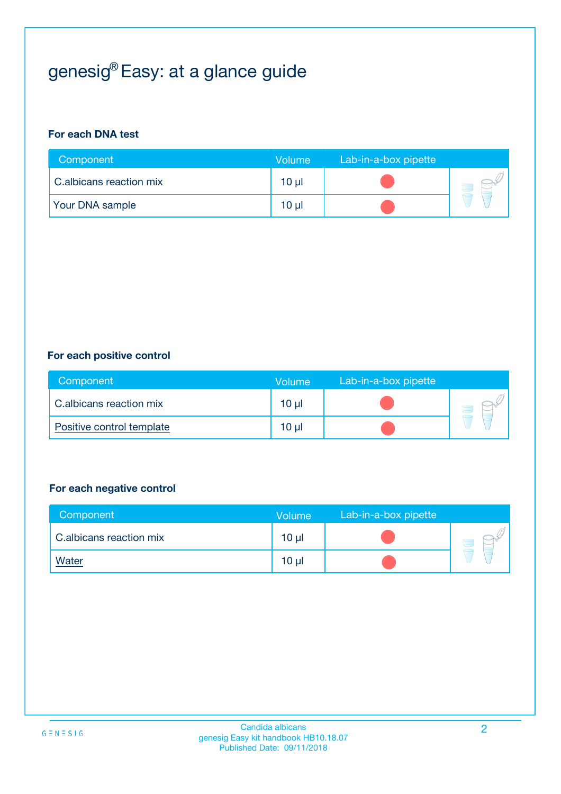# genesig® Easy: at a glance guide

#### **For each DNA test**

| Component               | <b>Volume</b> | Lab-in-a-box pipette |  |
|-------------------------|---------------|----------------------|--|
| C.albicans reaction mix | 10 µl         |                      |  |
| <b>Your DNA sample</b>  | 10 µl         |                      |  |

#### **For each positive control**

| Component                 | Volume | Lab-in-a-box pipette |  |
|---------------------------|--------|----------------------|--|
| C.albicans reaction mix   | 10 µl  |                      |  |
| Positive control template | 10 µl  |                      |  |

#### **For each negative control**

| Component               | <b>Volume</b>   | Lab-in-a-box pipette |  |
|-------------------------|-----------------|----------------------|--|
| C.albicans reaction mix | 10 <sub>µ</sub> |                      |  |
| <u>Water</u>            | 10 <sub>µ</sub> |                      |  |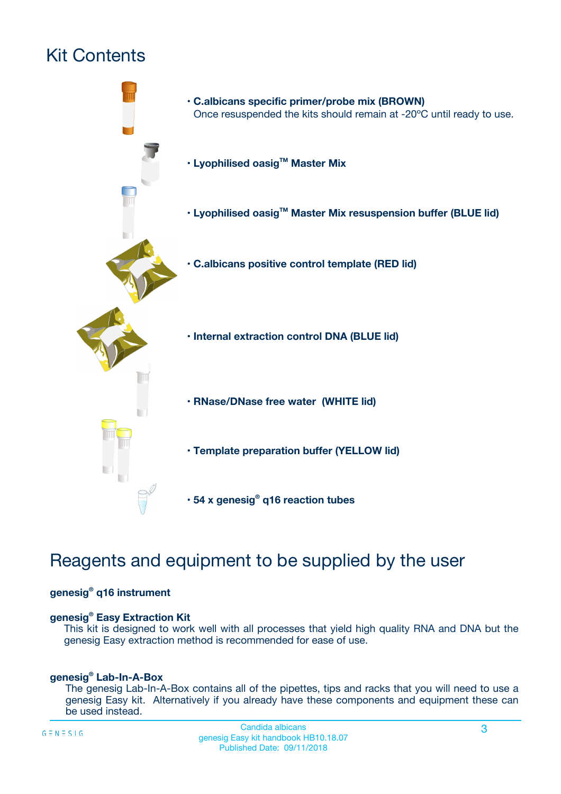# Kit Contents



# Reagents and equipment to be supplied by the user

#### **genesig® q16 instrument**

#### **genesig® Easy Extraction Kit**

This kit is designed to work well with all processes that yield high quality RNA and DNA but the genesig Easy extraction method is recommended for ease of use.

#### **genesig® Lab-In-A-Box**

The genesig Lab-In-A-Box contains all of the pipettes, tips and racks that you will need to use a genesig Easy kit. Alternatively if you already have these components and equipment these can be used instead.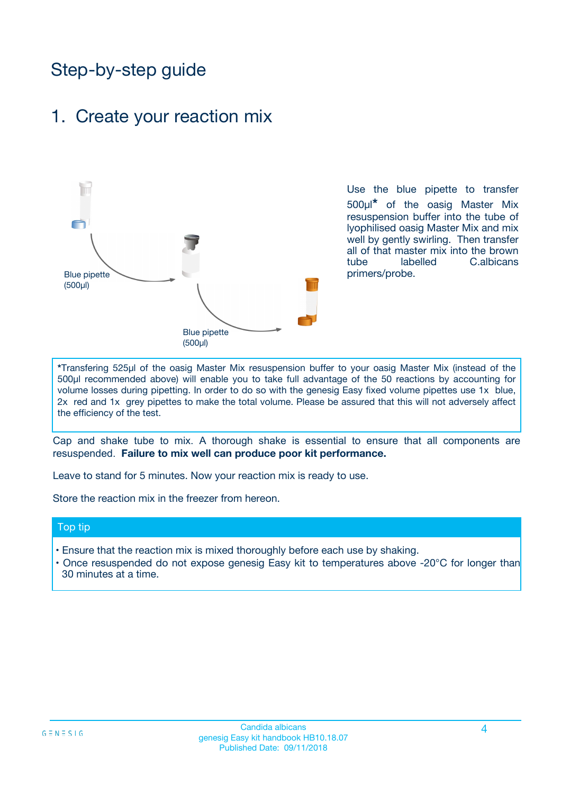# Step-by-step guide

### 1. Create your reaction mix



Use the blue pipette to transfer 500µl**\*** of the oasig Master Mix resuspension buffer into the tube of lyophilised oasig Master Mix and mix well by gently swirling. Then transfer all of that master mix into the brown tube labelled C.albicans primers/probe.

**\***Transfering 525µl of the oasig Master Mix resuspension buffer to your oasig Master Mix (instead of the 500µl recommended above) will enable you to take full advantage of the 50 reactions by accounting for volume losses during pipetting. In order to do so with the genesig Easy fixed volume pipettes use 1x blue, 2x red and 1x grey pipettes to make the total volume. Please be assured that this will not adversely affect the efficiency of the test.

Cap and shake tube to mix. A thorough shake is essential to ensure that all components are resuspended. **Failure to mix well can produce poor kit performance.**

Leave to stand for 5 minutes. Now your reaction mix is ready to use.

Store the reaction mix in the freezer from hereon.

#### Top tip

- Ensure that the reaction mix is mixed thoroughly before each use by shaking.
- Once resuspended do not expose genesig Easy kit to temperatures above -20°C for longer than 30 minutes at a time.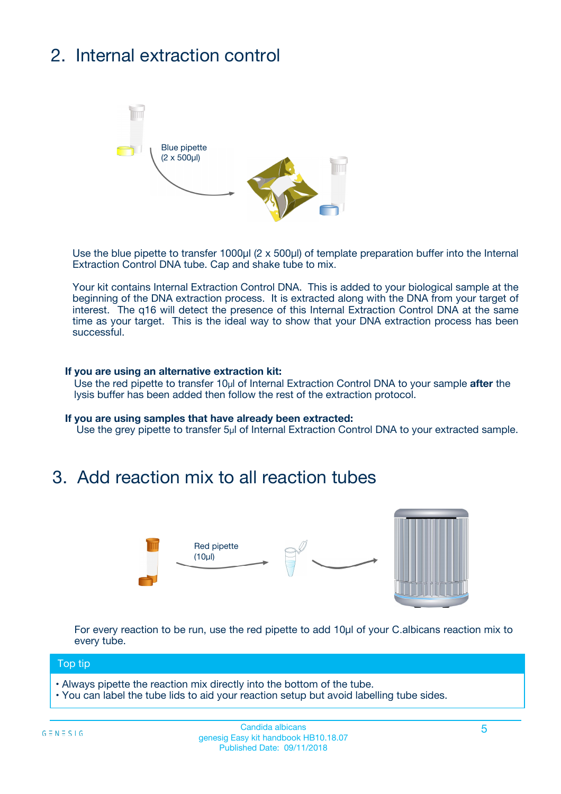# 2. Internal extraction control



Use the blue pipette to transfer 1000µl (2 x 500µl) of template preparation buffer into the Internal Extraction Control DNA tube. Cap and shake tube to mix.

Your kit contains Internal Extraction Control DNA. This is added to your biological sample at the beginning of the DNA extraction process. It is extracted along with the DNA from your target of interest. The q16 will detect the presence of this Internal Extraction Control DNA at the same time as your target. This is the ideal way to show that your DNA extraction process has been successful.

#### **If you are using an alternative extraction kit:**

Use the red pipette to transfer 10µl of Internal Extraction Control DNA to your sample **after** the lysis buffer has been added then follow the rest of the extraction protocol.

#### **If you are using samples that have already been extracted:**

Use the grey pipette to transfer 5µl of Internal Extraction Control DNA to your extracted sample.

### 3. Add reaction mix to all reaction tubes



For every reaction to be run, use the red pipette to add 10µl of your C.albicans reaction mix to every tube.

#### Top tip

- Always pipette the reaction mix directly into the bottom of the tube.
- You can label the tube lids to aid your reaction setup but avoid labelling tube sides.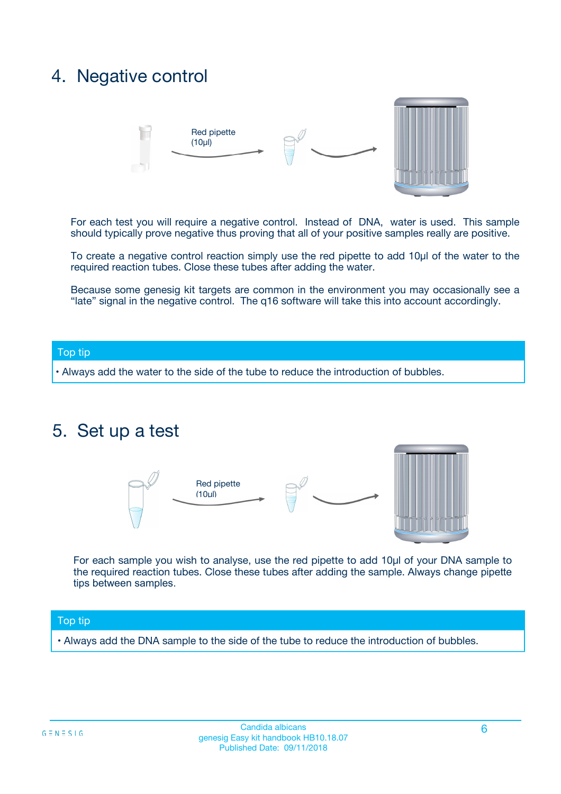### 4. Negative control



For each test you will require a negative control. Instead of DNA, water is used. This sample should typically prove negative thus proving that all of your positive samples really are positive.

To create a negative control reaction simply use the red pipette to add 10µl of the water to the required reaction tubes. Close these tubes after adding the water.

Because some genesig kit targets are common in the environment you may occasionally see a "late" signal in the negative control. The q16 software will take this into account accordingly.

#### Top tip

**•** Always add the water to the side of the tube to reduce the introduction of bubbles.

### 5. Set up a test



For each sample you wish to analyse, use the red pipette to add 10µl of your DNA sample to the required reaction tubes. Close these tubes after adding the sample. Always change pipette tips between samples.

#### Top tip

**•** Always add the DNA sample to the side of the tube to reduce the introduction of bubbles.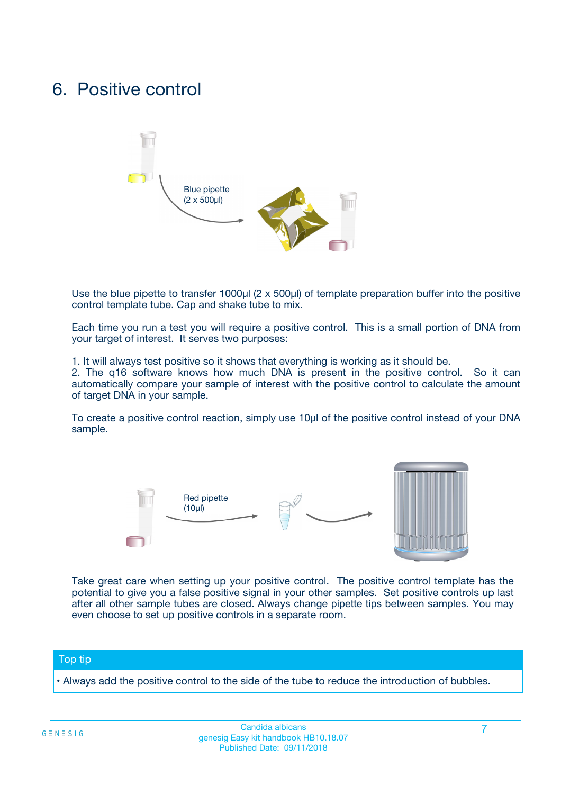### 6. Positive control



Use the blue pipette to transfer 1000µl (2 x 500µl) of template preparation buffer into the positive control template tube. Cap and shake tube to mix.

Each time you run a test you will require a positive control. This is a small portion of DNA from your target of interest. It serves two purposes:

1. It will always test positive so it shows that everything is working as it should be.

2. The q16 software knows how much DNA is present in the positive control. So it can automatically compare your sample of interest with the positive control to calculate the amount of target DNA in your sample.

To create a positive control reaction, simply use 10µl of the positive control instead of your DNA sample.



Take great care when setting up your positive control. The positive control template has the potential to give you a false positive signal in your other samples. Set positive controls up last after all other sample tubes are closed. Always change pipette tips between samples. You may even choose to set up positive controls in a separate room.

#### Top tip

**•** Always add the positive control to the side of the tube to reduce the introduction of bubbles.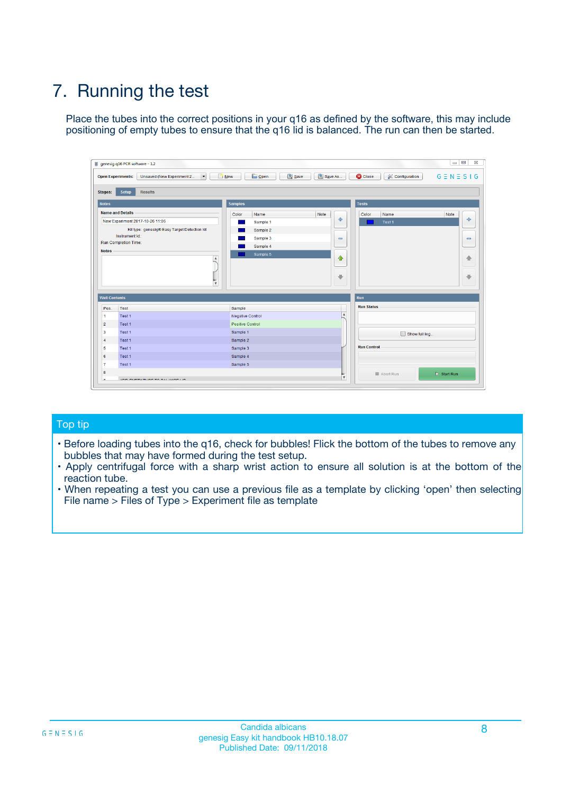# 7. Running the test

Place the tubes into the correct positions in your q16 as defined by the software, this may include positioning of empty tubes to ensure that the q16 lid is balanced. The run can then be started.

| qenesig q16 PCR software - 1.2                                               |                                   | $\Box$                                                                                          |
|------------------------------------------------------------------------------|-----------------------------------|-------------------------------------------------------------------------------------------------|
| $\vert \cdot \vert$<br>Unsaved (New Experiment 2<br><b>Open Experiments:</b> | <b>D</b> Open<br>R <sub>New</sub> | Save<br>Save As<br><b>C</b> Close<br><b>&amp; Configuration</b><br>$G \equiv N \equiv S \mid G$ |
| <b>Setup</b><br><b>Results</b><br>Stages:                                    |                                   |                                                                                                 |
| <b>Notes</b>                                                                 | <b>Samples</b>                    | <b>Tests</b>                                                                                    |
| <b>Name and Details</b>                                                      | Name<br>Color                     | Note<br>Color<br>Note<br>Name                                                                   |
| New Experiment 2017-10-26 11:06                                              | Sample 1                          | ÷<br>条<br>Test 1                                                                                |
| Kit type: genesig® Easy Target Detection kit                                 | Sample 2                          |                                                                                                 |
| Instrument Id.:                                                              | Sample 3                          | $\qquad \qquad \blacksquare$<br>$\qquad \qquad \blacksquare$                                    |
| <b>Run Completion Time:</b>                                                  | Sample 4                          |                                                                                                 |
| <b>Notes</b><br><b>A</b><br>$\overline{\mathbf v}$                           | Sample 5                          | ♦<br>4<br>÷<br>₩                                                                                |
| <b>Well Contents</b>                                                         |                                   | <b>Run</b>                                                                                      |
| Pos.<br>Test                                                                 | Sample                            | <b>Run Status</b>                                                                               |
| Test 1<br>$\blacktriangleleft$                                               | Negative Control                  | $\blacktriangle$                                                                                |
| $\overline{2}$<br>Test 1                                                     | <b>Positive Control</b>           |                                                                                                 |
| $\overline{\mathbf{3}}$<br>Test 1                                            | Sample 1                          | Show full log                                                                                   |
| Test 1<br>4                                                                  | Sample 2                          |                                                                                                 |
| 5<br>Test 1                                                                  | Sample 3                          | <b>Run Control</b>                                                                              |
| Test 1<br>6                                                                  | Sample 4                          |                                                                                                 |
| $\overline{7}$<br>Test 1                                                     | Sample 5                          |                                                                                                 |
| 8                                                                            |                                   | $\triangleright$ Start Run<br>Abort Run                                                         |
| <b>JOD FURTY TUDE TO BUILDED IN</b>                                          |                                   | $\overline{\mathbf{v}}$                                                                         |

#### Top tip

- Before loading tubes into the q16, check for bubbles! Flick the bottom of the tubes to remove any bubbles that may have formed during the test setup.
- Apply centrifugal force with a sharp wrist action to ensure all solution is at the bottom of the reaction tube.
- When repeating a test you can use a previous file as a template by clicking 'open' then selecting File name > Files of Type > Experiment file as template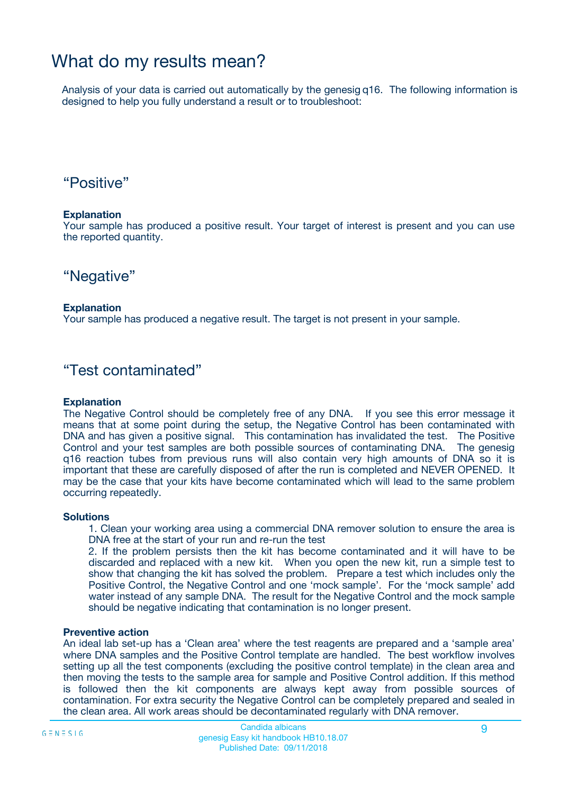### What do my results mean?

Analysis of your data is carried out automatically by the genesig q16. The following information is designed to help you fully understand a result or to troubleshoot:

### "Positive"

#### **Explanation**

Your sample has produced a positive result. Your target of interest is present and you can use the reported quantity.

"Negative"

#### **Explanation**

Your sample has produced a negative result. The target is not present in your sample.

### "Test contaminated"

#### **Explanation**

The Negative Control should be completely free of any DNA. If you see this error message it means that at some point during the setup, the Negative Control has been contaminated with DNA and has given a positive signal. This contamination has invalidated the test. The Positive Control and your test samples are both possible sources of contaminating DNA. The genesig q16 reaction tubes from previous runs will also contain very high amounts of DNA so it is important that these are carefully disposed of after the run is completed and NEVER OPENED. It may be the case that your kits have become contaminated which will lead to the same problem occurring repeatedly.

#### **Solutions**

1. Clean your working area using a commercial DNA remover solution to ensure the area is DNA free at the start of your run and re-run the test

2. If the problem persists then the kit has become contaminated and it will have to be discarded and replaced with a new kit. When you open the new kit, run a simple test to show that changing the kit has solved the problem. Prepare a test which includes only the Positive Control, the Negative Control and one 'mock sample'. For the 'mock sample' add water instead of any sample DNA. The result for the Negative Control and the mock sample should be negative indicating that contamination is no longer present.

#### **Preventive action**

An ideal lab set-up has a 'Clean area' where the test reagents are prepared and a 'sample area' where DNA samples and the Positive Control template are handled. The best workflow involves setting up all the test components (excluding the positive control template) in the clean area and then moving the tests to the sample area for sample and Positive Control addition. If this method is followed then the kit components are always kept away from possible sources of contamination. For extra security the Negative Control can be completely prepared and sealed in the clean area. All work areas should be decontaminated regularly with DNA remover.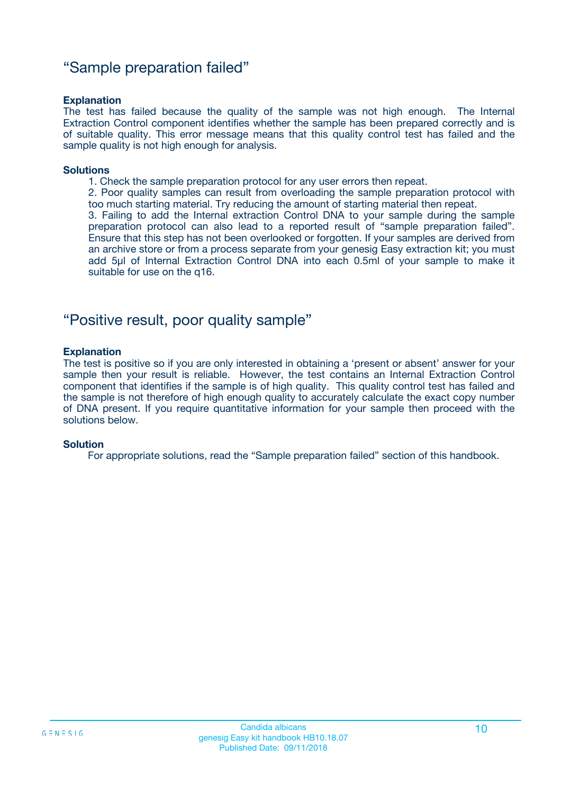### "Sample preparation failed"

#### **Explanation**

The test has failed because the quality of the sample was not high enough. The Internal Extraction Control component identifies whether the sample has been prepared correctly and is of suitable quality. This error message means that this quality control test has failed and the sample quality is not high enough for analysis.

#### **Solutions**

1. Check the sample preparation protocol for any user errors then repeat.

2. Poor quality samples can result from overloading the sample preparation protocol with too much starting material. Try reducing the amount of starting material then repeat.

3. Failing to add the Internal extraction Control DNA to your sample during the sample preparation protocol can also lead to a reported result of "sample preparation failed". Ensure that this step has not been overlooked or forgotten. If your samples are derived from an archive store or from a process separate from your genesig Easy extraction kit; you must add 5µl of Internal Extraction Control DNA into each 0.5ml of your sample to make it suitable for use on the q16.

### "Positive result, poor quality sample"

#### **Explanation**

The test is positive so if you are only interested in obtaining a 'present or absent' answer for your sample then your result is reliable. However, the test contains an Internal Extraction Control component that identifies if the sample is of high quality. This quality control test has failed and the sample is not therefore of high enough quality to accurately calculate the exact copy number of DNA present. If you require quantitative information for your sample then proceed with the solutions below.

#### **Solution**

For appropriate solutions, read the "Sample preparation failed" section of this handbook.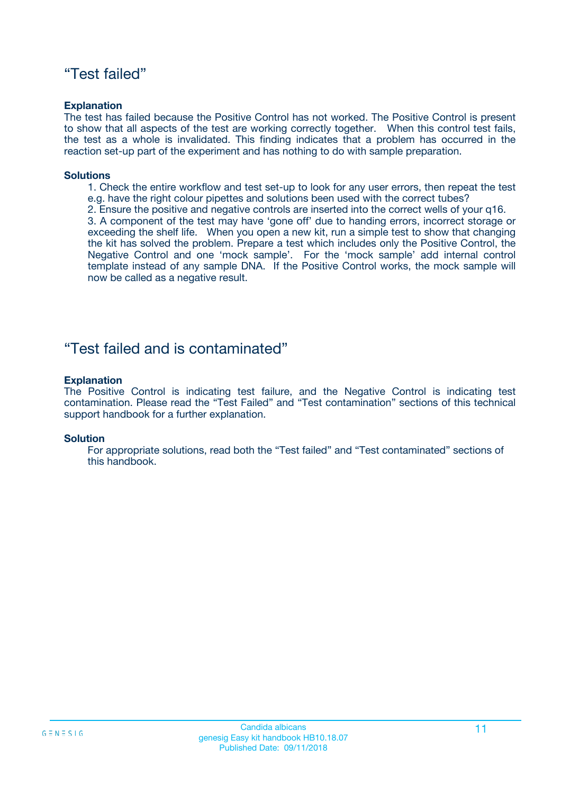### "Test failed"

#### **Explanation**

The test has failed because the Positive Control has not worked. The Positive Control is present to show that all aspects of the test are working correctly together. When this control test fails, the test as a whole is invalidated. This finding indicates that a problem has occurred in the reaction set-up part of the experiment and has nothing to do with sample preparation.

#### **Solutions**

- 1. Check the entire workflow and test set-up to look for any user errors, then repeat the test e.g. have the right colour pipettes and solutions been used with the correct tubes?
- 2. Ensure the positive and negative controls are inserted into the correct wells of your q16.

3. A component of the test may have 'gone off' due to handing errors, incorrect storage or exceeding the shelf life. When you open a new kit, run a simple test to show that changing the kit has solved the problem. Prepare a test which includes only the Positive Control, the Negative Control and one 'mock sample'. For the 'mock sample' add internal control template instead of any sample DNA. If the Positive Control works, the mock sample will now be called as a negative result.

### "Test failed and is contaminated"

#### **Explanation**

The Positive Control is indicating test failure, and the Negative Control is indicating test contamination. Please read the "Test Failed" and "Test contamination" sections of this technical support handbook for a further explanation.

#### **Solution**

For appropriate solutions, read both the "Test failed" and "Test contaminated" sections of this handbook.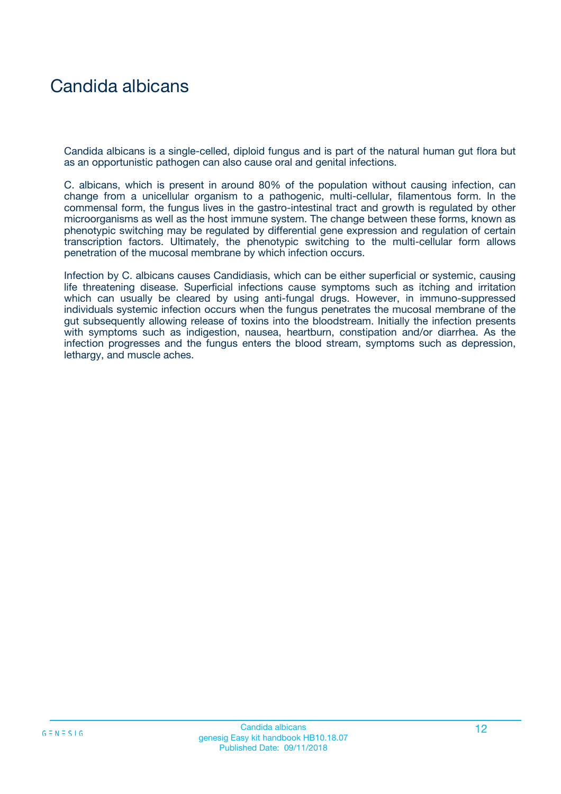# Candida albicans

Candida albicans is a single-celled, diploid fungus and is part of the natural human gut flora but as an opportunistic pathogen can also cause oral and genital infections.

C. albicans, which is present in around 80% of the population without causing infection, can change from a unicellular organism to a pathogenic, multi-cellular, filamentous form. In the commensal form, the fungus lives in the gastro-intestinal tract and growth is regulated by other microorganisms as well as the host immune system. The change between these forms, known as phenotypic switching may be regulated by differential gene expression and regulation of certain transcription factors. Ultimately, the phenotypic switching to the multi-cellular form allows penetration of the mucosal membrane by which infection occurs.

Infection by C. albicans causes Candidiasis, which can be either superficial or systemic, causing life threatening disease. Superficial infections cause symptoms such as itching and irritation which can usually be cleared by using anti-fungal drugs. However, in immuno-suppressed individuals systemic infection occurs when the fungus penetrates the mucosal membrane of the gut subsequently allowing release of toxins into the bloodstream. Initially the infection presents with symptoms such as indigestion, nausea, heartburn, constipation and/or diarrhea. As the infection progresses and the fungus enters the blood stream, symptoms such as depression, lethargy, and muscle aches.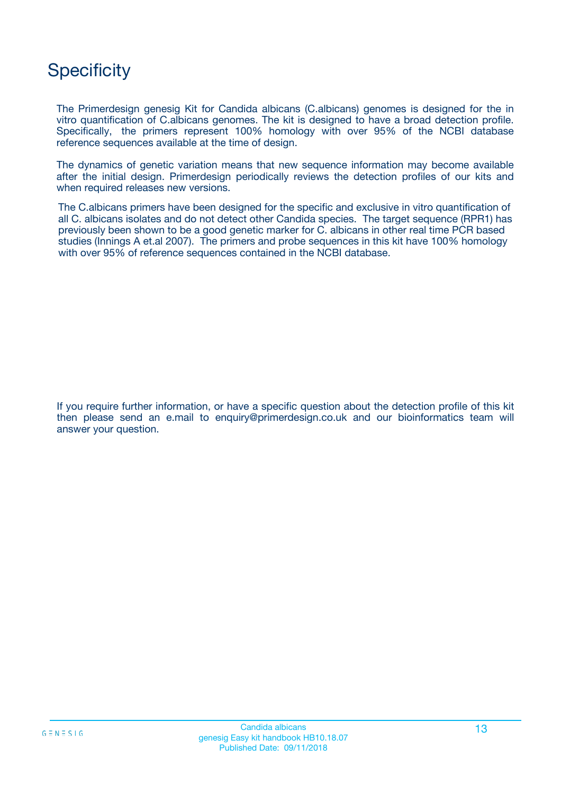# **Specificity**

The Primerdesign genesig Kit for Candida albicans (C.albicans) genomes is designed for the in vitro quantification of C.albicans genomes. The kit is designed to have a broad detection profile. Specifically, the primers represent 100% homology with over 95% of the NCBI database reference sequences available at the time of design.

The dynamics of genetic variation means that new sequence information may become available after the initial design. Primerdesign periodically reviews the detection profiles of our kits and when required releases new versions.

The C.albicans primers have been designed for the specific and exclusive in vitro quantification of all C. albicans isolates and do not detect other Candida species. The target sequence (RPR1) has previously been shown to be a good genetic marker for C. albicans in other real time PCR based studies (Innings A et.al 2007). The primers and probe sequences in this kit have 100% homology with over 95% of reference sequences contained in the NCBI database.

If you require further information, or have a specific question about the detection profile of this kit then please send an e.mail to enquiry@primerdesign.co.uk and our bioinformatics team will answer your question.